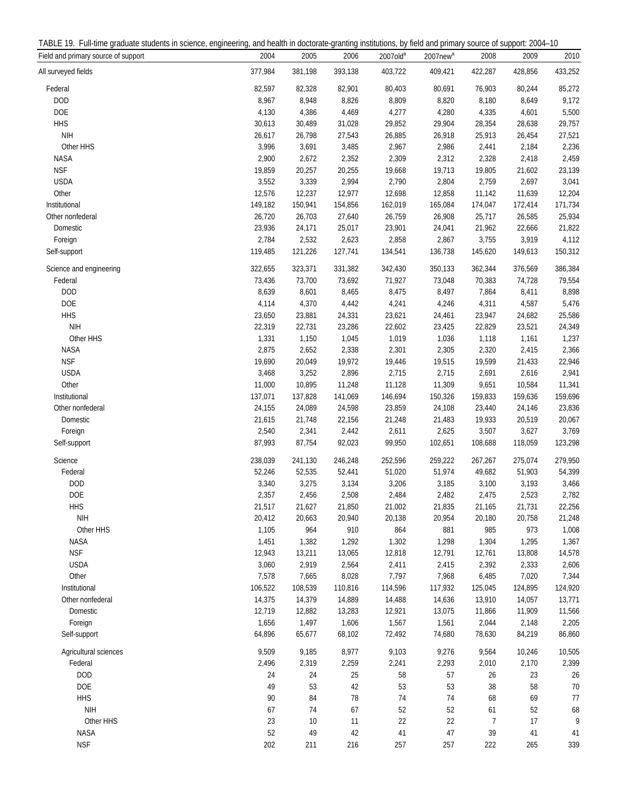| TABLE<br>-rull-tim<br>students<br>uduate .<br>science<br>engine<br>ਜਾਬਾ | health.<br>doctorate-<br><b>Grantinc</b><br>anc<br>erini | ı institutions<br>i and<br>primary s<br>hv<br>tield | 2004<br>suppor'<br>`SOUICE<br>. |
|-------------------------------------------------------------------------|----------------------------------------------------------|-----------------------------------------------------|---------------------------------|
|-------------------------------------------------------------------------|----------------------------------------------------------|-----------------------------------------------------|---------------------------------|

| Field and primary source of support                                                          | 2004            | 2005            | 2006            | 2007old <sup>a</sup> | 2007new <sup>a</sup> | 2008            | 2009            | 2010            |
|----------------------------------------------------------------------------------------------|-----------------|-----------------|-----------------|----------------------|----------------------|-----------------|-----------------|-----------------|
| All surveyed fields                                                                          | 377,984         | 381,198         | 393,138         | 403,722              | 409,421              | 422,287         | 428,856         | 433,252         |
| Federal                                                                                      | 82,597          | 82,328          | 82,901          | 80,403               | 80,691               | 76,903          | 80,244          | 85,272          |
| <b>DOD</b>                                                                                   | 8,967           | 8,948           | 8,826           | 8,809                | 8,820                | 8,180           | 8,649           | 9,172           |
| DOE                                                                                          | 4,130           | 4,386           | 4,469           | 4,277                | 4,280                | 4,335           | 4,601           | 5,500           |
| <b>HHS</b>                                                                                   | 30,613          | 30,489          | 31,028          | 29,852               | 29,904               | 28,354          | 28,638          | 29,757          |
| <b>NIH</b>                                                                                   | 26,617          | 26,798          | 27,543          | 26,885               | 26,918               | 25,913          | 26,454          | 27,521          |
| Other HHS                                                                                    | 3,996           | 3,691           | 3,485           | 2,967                | 2,986                | 2,441           | 2,184           | 2,236           |
| <b>NASA</b>                                                                                  | 2,900           | 2,672           | 2,352           | 2,309                | 2,312                | 2,328           | 2,418           | 2,459           |
| <b>NSF</b>                                                                                   | 19,859          | 20,257          | 20,255          | 19,668               | 19,713               | 19,805          | 21,602          | 23,139          |
| <b>USDA</b>                                                                                  | 3,552           | 3,339           | 2,994           | 2,790                | 2,804                | 2,759           | 2,697           | 3,041           |
| Other                                                                                        | 12,576          | 12,237          | 12,977          | 12,698               | 12,858               | 11,142          | 11,639          | 12,204          |
| Institutional                                                                                | 149,182         | 150,941         | 154,856         | 162,019              | 165,084              | 174,047         | 172,414         | 171,734         |
| Other nonfederal                                                                             | 26,720          | 26,703          | 27,640          | 26,759               | 26,908               | 25,717          | 26,585          | 25,934          |
| Domestic                                                                                     | 23,936          | 24,171          | 25,017          | 23,901               | 24,041               | 21,962          | 22,666          | 21,822          |
| Foreign                                                                                      | 2,784           | 2,532           | 2,623           | 2,858                | 2,867                | 3,755           | 3,919           | 4,112           |
| Self-support                                                                                 | 119,485         | 121,226         | 127,741         | 134,541              | 136,738              | 145,620         | 149,613         | 150,312         |
| Science and engineering                                                                      | 322,655         | 323,371         | 331,382         | 342,430              | 350,133              | 362,344         | 376,569         | 386,384         |
| Federal                                                                                      | 73,436          | 73,700          | 73,692          | 71,927               | 73,048               | 70,383          | 74,728          | 79,554          |
| <b>DOD</b>                                                                                   | 8,639           | 8,601           | 8,465           | 8,475                | 8,497                | 7,864           | 8,411           | 8,898           |
| DOE                                                                                          | 4,114           | 4,370           | 4,442           | 4,241                | 4,246                | 4,311           | 4,587           | 5,476           |
| <b>HHS</b>                                                                                   | 23,650          | 23,881          | 24,331          | 23,621               | 24,461               | 23,947          | 24,682          | 25,586          |
| <b>NIH</b>                                                                                   | 22,319          | 22,731          | 23,286          | 22,602               | 23,425               | 22,829          | 23,521          | 24,349          |
| Other HHS                                                                                    | 1,331           | 1,150           | 1,045           | 1,019                | 1,036                | 1,118           | 1,161           | 1,237           |
| <b>NASA</b>                                                                                  | 2,875           | 2,652           | 2,338           | 2,301                | 2,305                | 2,320           | 2,415           | 2,366           |
| <b>NSF</b>                                                                                   | 19,690          | 20,049          | 19,972          | 19,446               | 19,515               | 19,599          | 21,433          | 22,946          |
| <b>USDA</b>                                                                                  | 3,468           | 3,252           | 2,896           | 2,715                | 2,715                | 2,691           | 2,616           | 2,941           |
| Other                                                                                        | 11,000          | 10,895          | 11,248          | 11,128               | 11,309               | 9,651           | 10,584          | 11,341          |
| Institutional                                                                                | 137,071         | 137,828         | 141,069         | 146,694              | 150,326              | 159,833         | 159,636         | 159,696         |
| Other nonfederal                                                                             | 24,155          | 24,089          | 24,598          | 23,859               | 24,108               | 23,440          | 24,146          | 23,836          |
| Domestic                                                                                     | 21,615          | 21,748          | 22,156          | 21,248               | 21,483               | 19,933          | 20,519          | 20,067          |
| Foreign                                                                                      | 2,540           | 2,341           | 2,442           | 2,611                | 2,625                | 3,507           | 3,627           | 3,769           |
| Self-support                                                                                 | 87,993          | 87,754          | 92,023          | 99,950               | 102,651              | 108,688         | 118,059         | 123,298         |
| Science                                                                                      | 238,039         | 241,130         | 246,248         | 252,596              | 259,222              | 267,267         | 275,074         | 279,950         |
| Federal                                                                                      | 52,246          | 52,535          | 52,441          | 51,020               | 51,974               | 49,682          | 51,903          | 54,399          |
| <b>DOD</b>                                                                                   | 3,340           | 3,275           | 3,134           | 3,206                | 3,185                | 3,100           | 3,193           | 3,466           |
| <b>DOE</b>                                                                                   | 2,357           | 2,456           | 2,508           | 2,484                | 2,482                | 2,475           | 2,523           | 2,782           |
| <b>HHS</b>                                                                                   | 21,517          | 21,627          | 21,850          | 21,002               | 21,835               | 21,165          | 21,731          | 22,256          |
| $\ensuremath{\mathsf{N}}\xspace\ensuremath{\mathsf{I}}\xspace\ensuremath{\mathsf{H}}\xspace$ | 20,412          | 20,663          | 20,940          | 20,138               | 20,954               | 20,180          | 20,758          | 21,248          |
| Other HHS                                                                                    | 1,105           | 964             | 910             | 864                  | 881                  | 985             | 973             | 1,008           |
| <b>NASA</b>                                                                                  | 1,451           | 1,382           | 1,292           | 1,302                | 1,298                | 1,304           | 1,295           | 1,367           |
| <b>NSF</b>                                                                                   | 12,943          | 13,211          | 13,065          | 12,818               | 12,791               | 12,761          | 13,808          | 14,578          |
| <b>USDA</b>                                                                                  | 3,060           | 2,919           | 2,564           | 2,411                | 2,415                | 2,392           | 2,333           | 2,606           |
| Other                                                                                        | 7,578           | 7,665           | 8,028           | 7,797                | 7,968                | 6,485           | 7,020           | 7,344           |
| Institutional                                                                                | 106,522         | 108,539         | 110,816         | 114,596              | 117,932              | 125,045         | 124,895         | 124,920         |
| Other nonfederal                                                                             | 14,375          | 14,379          | 14,889          | 14,488               | 14,636               | 13,910          | 14,057          | 13,771          |
| Domestic<br>Foreign                                                                          | 12,719<br>1,656 | 12,882          | 13,283<br>1,606 | 12,921<br>1,567      | 13,075<br>1,561      | 11,866<br>2,044 | 11,909<br>2,148 | 11,566<br>2,205 |
| Self-support                                                                                 | 64,896          | 1,497<br>65,677 | 68,102          | 72,492               | 74,680               | 78,630          | 84,219          | 86,860          |
| Agricultural sciences                                                                        | 9,509           | 9,185           | 8,977           | 9,103                | 9,276                | 9,564           | 10,246          | 10,505          |
| Federal                                                                                      | 2,496           | 2,319           | 2,259           | 2,241                | 2,293                | 2,010           | 2,170           | 2,399           |
| <b>DOD</b>                                                                                   | 24              | 24              | 25              | 58                   | 57                   | 26              | 23              | 26              |
| DOE                                                                                          | 49              | 53              | 42              | 53                   | 53                   | 38              | 58              | $70$            |
| <b>HHS</b>                                                                                   | 90              | 84              | $78\,$          | 74                   | 74                   | 68              | 69              | $77 \,$         |
| <b>NIH</b>                                                                                   | 67              | 74              | 67              | 52                   | 52                   | 61              | 52              | 68              |
| Other HHS                                                                                    | 23              | 10              | 11              | 22                   | 22                   | 7               | 17              | 9               |
| NASA                                                                                         | 52              | 49              | 42              | $41\,$               | 47                   | 39              | 41              | 41              |
| <b>NSF</b>                                                                                   | 202             | 211             | 216             | 257                  | 257                  | 222             | 265             | 339             |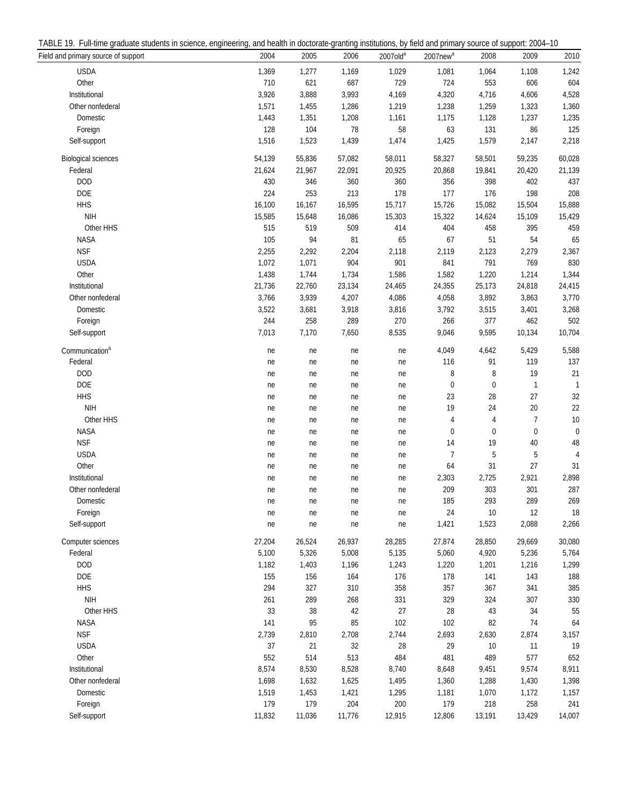| TABLE<br>ull-time<br>students in sc<br>ara<br>…uuate ∩'<br>science | erina.<br>enginee | I health in doctorate-o<br>and | institutions.<br>.-granting | , by field and primary | $2004 -$<br>source of<br>Support |
|--------------------------------------------------------------------|-------------------|--------------------------------|-----------------------------|------------------------|----------------------------------|
|--------------------------------------------------------------------|-------------------|--------------------------------|-----------------------------|------------------------|----------------------------------|

| There I.I. I all allegated statements in selence, engineering, and health in accionate granting institutions, by neighbordery source or support. Let $\Gamma$<br>Field and primary source of support | 2004            | 2005            | 2006            | $2007$ olda     | $2007$ new $a$ | 2008            | 2009            | 2010           |
|------------------------------------------------------------------------------------------------------------------------------------------------------------------------------------------------------|-----------------|-----------------|-----------------|-----------------|----------------|-----------------|-----------------|----------------|
| <b>USDA</b>                                                                                                                                                                                          | 1,369           | 1,277           | 1,169           | 1,029           | 1,081          | 1,064           | 1,108           | 1,242          |
| Other                                                                                                                                                                                                | 710             | 621             | 687             | 729             | 724            | 553             | 606             | 604            |
| Institutional                                                                                                                                                                                        | 3,926           | 3,888           | 3,993           | 4,169           | 4,320          | 4,716           | 4,606           | 4,528          |
| Other nonfederal                                                                                                                                                                                     | 1,571           | 1,455           | 1,286           | 1,219           | 1,238          | 1,259           | 1,323           | 1,360          |
| Domestic                                                                                                                                                                                             | 1,443           | 1,351           | 1,208           | 1,161           | 1,175          | 1,128           | 1,237           | 1,235          |
| Foreign                                                                                                                                                                                              | 128             | 104             | 78              | 58              | 63             | 131             | 86              | 125            |
| Self-support                                                                                                                                                                                         | 1,516           | 1,523           | 1,439           | 1,474           | 1,425          | 1,579           | 2,147           | 2,218          |
|                                                                                                                                                                                                      |                 |                 |                 |                 |                |                 |                 |                |
| <b>Biological sciences</b>                                                                                                                                                                           | 54,139          | 55,836          | 57,082          | 58,011          | 58,327         | 58,501          | 59,235          | 60,028         |
| Federal                                                                                                                                                                                              | 21,624          | 21,967          | 22,091          | 20,925          | 20,868         | 19,841          | 20,420          | 21,139         |
| <b>DOD</b>                                                                                                                                                                                           | 430             | 346             | 360             | 360             | 356            | 398             | 402             | 437            |
| <b>DOE</b>                                                                                                                                                                                           | 224             | 253             | 213             | 178             | 177            | 176             | 198             | 208            |
| <b>HHS</b>                                                                                                                                                                                           | 16,100          | 16,167          | 16,595          | 15,717          | 15,726         | 15,082          | 15,504          | 15,888         |
| <b>NIH</b>                                                                                                                                                                                           | 15,585          | 15,648          | 16,086          | 15,303          | 15,322         | 14,624          | 15,109          | 15,429         |
| Other HHS                                                                                                                                                                                            | 515             | 519             | 509             | 414             | 404            | 458             | 395             | 459            |
| NASA                                                                                                                                                                                                 | 105             | 94              | 81              | 65              | 67             | 51              | 54              | 65             |
| <b>NSF</b>                                                                                                                                                                                           | 2,255           | 2,292           | 2,204           | 2,118           | 2,119          | 2,123           | 2,279           | 2,367          |
| <b>USDA</b>                                                                                                                                                                                          | 1,072           | 1,071           | 904             | 901             | 841            | 791             | 769             | 830            |
| Other                                                                                                                                                                                                | 1,438           | 1,744           | 1,734           | 1,586           | 1,582          | 1,220           | 1,214           | 1,344          |
| Institutional                                                                                                                                                                                        | 21,736          | 22,760          | 23,134          | 24,465          | 24,355         | 25,173          | 24,818          | 24,415         |
| Other nonfederal                                                                                                                                                                                     | 3,766           | 3,939           | 4,207           | 4,086           | 4,058          | 3,892           | 3,863           | 3,770          |
| Domestic                                                                                                                                                                                             | 3,522           | 3,681           | 3,918           | 3,816           | 3,792          | 3,515           | 3,401           | 3,268          |
| Foreign                                                                                                                                                                                              | 244             | 258             | 289             | 270             | 266            | 377             | 462             | 502            |
| Self-support                                                                                                                                                                                         | 7,013           | 7,170           | 7,650           | 8,535           | 9,046          | 9,595           | 10,134          | 10,704         |
| Communication <sup>a</sup>                                                                                                                                                                           | ne              | ne              | ne              | ne              | 4,049          | 4,642           | 5,429           | 5,588          |
| Federal                                                                                                                                                                                              | ne              | ne              | ne              | ne              | 116            | 91              | 119             | 137            |
| <b>DOD</b>                                                                                                                                                                                           | ne              | ne              | ne              | ne              | 8              | 8               | 19              | 21             |
| DOE                                                                                                                                                                                                  | ne              | ne              | ne              | ne              | 0              | $\mathbf 0$     | 1               | $\mathbf{1}$   |
| <b>HHS</b>                                                                                                                                                                                           | ne              | ne              | ne              | ne              | 23             | 28              | $27\,$          | $32\,$         |
| <b>NIH</b>                                                                                                                                                                                           | ne              | ne              | ne              | ne              | 19             | 24              | $20\,$          | $22\,$         |
| Other HHS                                                                                                                                                                                            | ne              | ne              | ne              | ne              | 4              | 4               | 7               | 10             |
| <b>NASA</b>                                                                                                                                                                                          | ne              | ne              | ne              | ne              | 0              | 0               | 0               | $\mathbf 0$    |
| <b>NSF</b>                                                                                                                                                                                           | ne              | ne              | ne              | ne              | 14             | 19              | 40              | 48             |
| <b>USDA</b>                                                                                                                                                                                          | ne              | ne              | ne              | ne              | 7              | 5               | 5               | $\overline{A}$ |
| Other                                                                                                                                                                                                | ne              | ne              | ne              | ne              | 64             | 31              | 27              | 31             |
| Institutional                                                                                                                                                                                        | ne              | ne              | ne              | ne              | 2,303          | 2,725           | 2,921           | 2,898          |
| Other nonfederal                                                                                                                                                                                     | ne              | ne              | ne              | ne              | 209            | 303             | 301             | 287            |
| Domestic                                                                                                                                                                                             | ne              | ne              | ne              | ne              | 185            | 293             | 289             | 269            |
| Foreign                                                                                                                                                                                              | ne              | ne              | ne              | ne              | 24             | 10              | 12              | 18             |
| Self-support                                                                                                                                                                                         | ne              | ne              | ne              | ne              | 1,421          | 1,523           | 2,088           | 2,266          |
| Computer sciences                                                                                                                                                                                    |                 |                 |                 |                 | 27,874         |                 |                 | 30,080         |
| Federal                                                                                                                                                                                              | 27,204<br>5,100 | 26,524<br>5,326 | 26,937<br>5,008 | 28,285<br>5,135 | 5,060          | 28,850<br>4,920 | 29,669<br>5,236 | 5,764          |
| <b>DOD</b>                                                                                                                                                                                           | 1,182           |                 | 1,196           | 1,243           | 1,220          |                 | 1,216           | 1,299          |
| <b>DOE</b>                                                                                                                                                                                           |                 | 1,403           |                 |                 |                | 1,201           |                 |                |
| <b>HHS</b>                                                                                                                                                                                           | 155             | 156             | 164             | 176             | 178            | 141             | 143             | 188            |
| <b>NIH</b>                                                                                                                                                                                           | 294             | 327             | 310             | 358             | 357            | 367             | 341             | 385            |
|                                                                                                                                                                                                      | 261             | 289             | 268             | 331             | 329            | 324             | 307             | 330            |
| Other HHS                                                                                                                                                                                            | 33              | 38              | 42              | 27              | 28             | 43              | 34              | 55             |
| <b>NASA</b>                                                                                                                                                                                          | 141             | 95              | 85              | 102             | 102            | 82              | 74              | 64             |
| <b>NSF</b>                                                                                                                                                                                           | 2,739           | 2,810           | 2,708           | 2,744           | 2,693          | 2,630           | 2,874           | 3,157          |
| <b>USDA</b>                                                                                                                                                                                          | 37              | 21              | 32              | 28              | 29             | 10              | 11              | 19             |
| Other                                                                                                                                                                                                | 552             | 514             | 513             | 484             | 481            | 489             | 577             | 652            |
| Institutional                                                                                                                                                                                        | 8,574           | 8,530           | 8,528           | 8,740           | 8,648          | 9,451           | 9,574           | 8,911          |
| Other nonfederal                                                                                                                                                                                     | 1,698           | 1,632           | 1,625           | 1,495           | 1,360          | 1,288           | 1,430           | 1,398          |
| Domestic                                                                                                                                                                                             | 1,519           | 1,453           | 1,421           | 1,295           | 1,181          | 1,070           | 1,172           | 1,157          |
| Foreign                                                                                                                                                                                              | 179             | 179             | 204             | 200             | 179            | 218             | 258             | 241            |
| Self-support                                                                                                                                                                                         | 11,832          | 11,036          | 11,776          | 12,915          | 12,806         | 13,191          | 13,429          | 14,007         |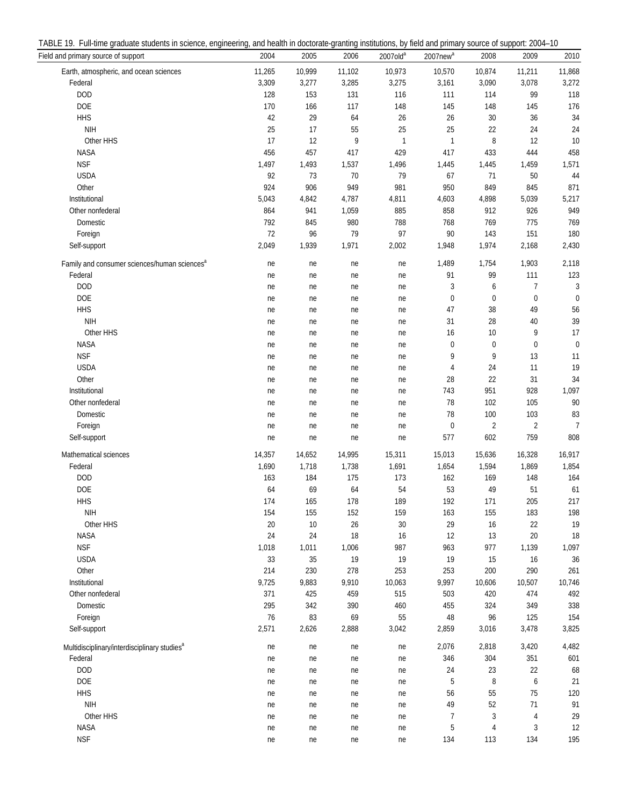| TABLE<br>1 Q<br>graduate<br>: students in science.<br>Full-time<br>engineering. | , and health in doctorate-granting institutions. | $2004 -$<br>. by field and primary source.<br>of support:<br>. UL |
|---------------------------------------------------------------------------------|--------------------------------------------------|-------------------------------------------------------------------|
|---------------------------------------------------------------------------------|--------------------------------------------------|-------------------------------------------------------------------|

| Field and primary source of support                      | 2004   | 2005   | 2006   | 2007old <sup>a</sup> | 2007new <sup>a</sup> | 2008           | 2009           | 2010           |
|----------------------------------------------------------|--------|--------|--------|----------------------|----------------------|----------------|----------------|----------------|
| Earth, atmospheric, and ocean sciences                   | 11,265 | 10,999 | 11,102 | 10,973               | 10,570               | 10,874         | 11,211         | 11,868         |
| Federal                                                  | 3,309  | 3,277  | 3,285  | 3,275                | 3,161                | 3,090          | 3,078          | 3,272          |
| <b>DOD</b>                                               | 128    | 153    | 131    | 116                  | 111                  | 114            | 99             | 118            |
| <b>DOE</b>                                               | 170    | 166    | 117    | 148                  | 145                  | 148            | 145            | 176            |
| <b>HHS</b>                                               | 42     | 29     | 64     | 26                   | 26                   | 30             | 36             | 34             |
| <b>NIH</b>                                               | 25     | 17     | 55     | 25                   | 25                   | 22             | 24             | 24             |
| Other HHS                                                | 17     | 12     | 9      | $\mathbf{1}$         | 1                    | 8              | 12             | 10             |
| <b>NASA</b>                                              | 456    | 457    | 417    | 429                  | 417                  | 433            | 444            | 458            |
| <b>NSF</b>                                               |        |        |        |                      |                      |                |                |                |
|                                                          | 1,497  | 1,493  | 1,537  | 1,496                | 1,445                | 1,445          | 1,459          | 1,571          |
| <b>USDA</b>                                              | 92     | 73     | 70     | 79                   | 67                   | 71             | 50             | 44             |
| Other                                                    | 924    | 906    | 949    | 981                  | 950                  | 849            | 845            | 871            |
| Institutional                                            | 5,043  | 4,842  | 4,787  | 4,811                | 4,603                | 4,898          | 5,039          | 5,217          |
| Other nonfederal                                         | 864    | 941    | 1,059  | 885                  | 858                  | 912            | 926            | 949            |
| Domestic                                                 | 792    | 845    | 980    | 788                  | 768                  | 769            | 775            | 769            |
| Foreign                                                  | 72     | 96     | 79     | 97                   | 90                   | 143            | 151            | 180            |
| Self-support                                             | 2,049  | 1,939  | 1,971  | 2,002                | 1,948                | 1,974          | 2,168          | 2,430          |
| Family and consumer sciences/human sciences <sup>a</sup> | ne     | ne     | ne     | ne                   | 1,489                | 1,754          | 1,903          | 2,118          |
| Federal                                                  | ne     | ne     | ne     | ne                   | 91                   | 99             | 111            | 123            |
| <b>DOD</b>                                               | ne     | ne     | ne     | ne                   | 3                    | 6              | 7              | 3              |
| <b>DOE</b>                                               | ne     | ne     | ne     | ne                   | $\mathbf 0$          | $\mathbf 0$    | $\pmb{0}$      | $\mathbf{0}$   |
| <b>HHS</b>                                               | ne     | ne     | ne     | ne                   | 47                   | 38             | 49             | 56             |
| <b>NIH</b>                                               | ne     | ne     | ne     | ne                   | 31                   | 28             | 40             | 39             |
| Other HHS                                                | ne     | ne     | ne     | ne                   | 16                   | 10             | 9              | 17             |
| <b>NASA</b>                                              | ne     | ne     | ne     | ne                   | $\mathbf 0$          | $\mathbf 0$    | $\mathbf 0$    | $\mathbf 0$    |
| <b>NSF</b>                                               | ne     | ne     | ne     | ne                   | 9                    | 9              | 13             | 11             |
| <b>USDA</b>                                              |        |        |        |                      | 4                    | 24             | 11             | 19             |
| Other                                                    | ne     | ne     | ne     | ne                   |                      | 22             |                |                |
|                                                          | ne     | ne     | ne     | ne                   | 28                   |                | 31             | 34             |
| Institutional                                            | ne     | ne     | ne     | ne                   | 743                  | 951            | 928            | 1,097          |
| Other nonfederal                                         | ne     | ne     | ne     | ne                   | 78                   | 102            | 105            | 90             |
| Domestic                                                 | ne     | ne     | ne     | ne                   | 78                   | 100            | 103            | 83             |
| Foreign                                                  | ne     | ne     | ne     | ne                   | $\pmb{0}$            | $\overline{2}$ | $\overline{2}$ | $\overline{7}$ |
| Self-support                                             | ne     | ne     | ne     | ne                   | 577                  | 602            | 759            | 808            |
| Mathematical sciences                                    | 14,357 | 14,652 | 14,995 | 15,311               | 15,013               | 15,636         | 16,328         | 16,917         |
| Federal                                                  | 1,690  | 1,718  | 1,738  | 1,691                | 1,654                | 1,594          | 1,869          | 1,854          |
| <b>DOD</b>                                               | 163    | 184    | 175    | 173                  | 162                  | 169            | 148            | 164            |
| <b>DOE</b>                                               | 64     | 69     | 64     | 54                   | 53                   | 49             | 51             | 61             |
| <b>HHS</b>                                               | 174    | 165    | 178    | 189                  | 192                  | 171            | 205            | 217            |
| <b>NIH</b>                                               | 154    | 155    | 152    | 159                  | 163                  | 155            | 183            | 198            |
| Other HHS                                                | 20     | $10\,$ | 26     | 30                   | 29                   | 16             | 22             | 19             |
|                                                          |        |        | 18     |                      |                      |                |                |                |
| NASA                                                     | 24     | 24     |        | 16                   | 12                   | 13             | 20             | 18             |
| <b>NSF</b>                                               | 1,018  | 1,011  | 1,006  | 987                  | 963                  | 977            | 1,139          | 1,097          |
| <b>USDA</b>                                              | 33     | 35     | 19     | $19$                 | 19                   | 15             | 16             | 36             |
| Other                                                    | 214    | 230    | 278    | 253                  | 253                  | 200            | 290            | 261            |
| Institutional                                            | 9,725  | 9,883  | 9,910  | 10,063               | 9,997                | 10,606         | 10,507         | 10,746         |
| Other nonfederal                                         | 371    | 425    | 459    | 515                  | 503                  | 420            | 474            | 492            |
| Domestic                                                 | 295    | 342    | 390    | 460                  | 455                  | 324            | 349            | 338            |
| Foreign                                                  | $76$   | 83     | 69     | 55                   | 48                   | 96             | 125            | 154            |
| Self-support                                             | 2,571  | 2,626  | 2,888  | 3,042                | 2,859                | 3,016          | 3,478          | 3,825          |
| Multidisciplinary/interdisciplinary studies <sup>a</sup> | ne     | ne     | ne     | ne                   | 2,076                | 2,818          | 3,420          | 4,482          |
| Federal                                                  | ne     | ne     | ne     | ne                   | 346                  | 304            | 351            | 601            |
| <b>DOD</b>                                               | ne     | ne     | ne     | ne                   | 24                   | 23             | 22             | 68             |
| <b>DOE</b>                                               | ne     | ne     | ne     | ne                   | 5                    | 8              | 6              | 21             |
| <b>HHS</b>                                               | ne     | ne     | ne     | ne                   | 56                   | 55             | 75             | 120            |
| <b>NIH</b>                                               |        |        | ne     |                      | 49                   | 52             | 71             | 91             |
|                                                          | ne     | ne     |        | ne                   | 7                    |                |                | 29             |
| Other HHS                                                | ne     | ne     | ne     | ne                   |                      | 3              | $\overline{4}$ |                |
| NASA                                                     | ne     | ne     | ne     | ne                   | 5                    | 4              | 3              | 12             |
| <b>NSF</b>                                               | ne     | ne     | ne     | ne                   | 134                  | 113            | 134            | 195            |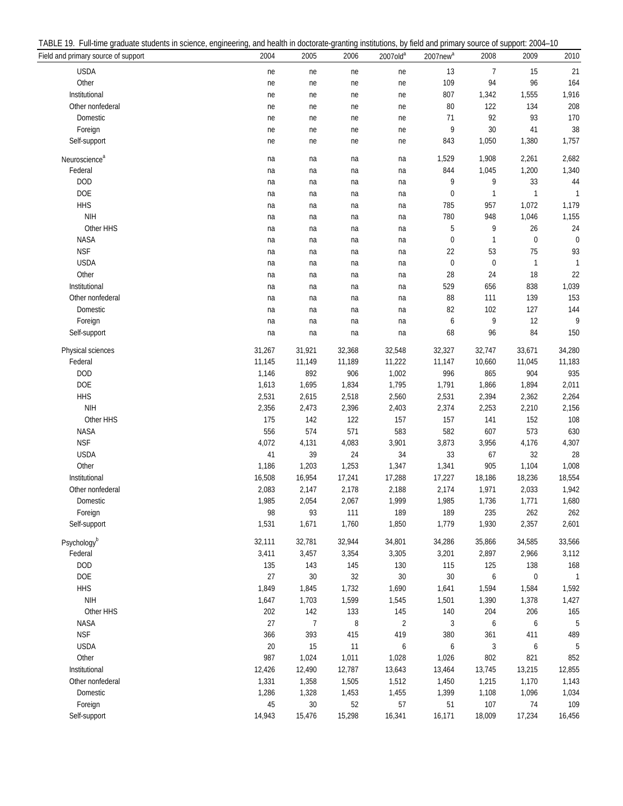| TABLE<br>ull-time<br>students in sc<br>ara<br>…uuate ∩'<br>science | erina.<br>enginee | I health in doctorate-o<br>and | institutions.<br>.-granting | , by field and primary | $2004 -$<br>source of<br>Support |
|--------------------------------------------------------------------|-------------------|--------------------------------|-----------------------------|------------------------|----------------------------------|
|--------------------------------------------------------------------|-------------------|--------------------------------|-----------------------------|------------------------|----------------------------------|

| Field and primary source of support | 2004   | 2005           | 2006   | 2007old <sup>a</sup> | 2007new <sup>a</sup> | 2008             | 2009      | 2010         |
|-------------------------------------|--------|----------------|--------|----------------------|----------------------|------------------|-----------|--------------|
| <b>USDA</b>                         | ne     | ne             | ne     | ne                   | 13                   | 7                | 15        | 21           |
| Other                               | ne     | ne             | ne     | ne                   | 109                  | 94               | 96        | 164          |
| Institutional                       | ne     | ne             | ne     | ne                   | 807                  | 1,342            | 1,555     | 1,916        |
| Other nonfederal                    | ne     | ne             | ne     | ne                   | 80                   | 122              | 134       | 208          |
| Domestic                            | ne     | ne             | ne     | ne                   | 71                   | 92               | 93        | 170          |
| Foreign                             | ne     | ne             | ne     | ne                   | 9                    | 30               | 41        | 38           |
| Self-support                        | ne     | ne             | ne     | ne                   | 843                  | 1,050            | 1,380     | 1,757        |
| Neuroscience <sup>a</sup>           | na     | na             | na     | na                   | 1,529                | 1,908            | 2,261     | 2,682        |
| Federal                             | na     | na             | na     | na                   | 844                  | 1,045            | 1,200     | 1,340        |
| <b>DOD</b>                          | na     | na             | na     | na                   | 9                    | 9                | 33        | 44           |
| <b>DOE</b>                          |        |                |        |                      | 0                    | $\mathbf{1}$     | 1         | $\mathbf{1}$ |
| <b>HHS</b>                          | na     | na             | na     | na                   |                      | 957              | 1,072     | 1,179        |
| <b>NIH</b>                          | na     | na             | na     | na                   | 785                  |                  |           |              |
|                                     | na     | na             | na     | na                   | 780                  | 948              | 1,046     | 1,155        |
| Other HHS                           | na     | na             | na     | na                   | 5                    | 9                | 26        | 24           |
| <b>NASA</b>                         | na     | na             | na     | na                   | 0                    | $\mathbf{1}$     | 0         | $\mathbf 0$  |
| <b>NSF</b>                          | na     | na             | na     | na                   | 22                   | 53               | 75        | 93           |
| <b>USDA</b>                         | na     | na             | na     | na                   | $\mathbf 0$          | $\boldsymbol{0}$ | 1         | 1            |
| Other                               | na     | na             | na     | na                   | 28                   | 24               | 18        | 22           |
| Institutional                       | na     | na             | na     | na                   | 529                  | 656              | 838       | 1,039        |
| Other nonfederal                    | na     | na             | na     | na                   | 88                   | 111              | 139       | 153          |
| Domestic                            | na     | na             | na     | na                   | 82                   | 102              | 127       | 144          |
| Foreign                             | na     | na             | na     | na                   | 6                    | 9                | 12        | 9            |
| Self-support                        | na     | na             | na     | na                   | 68                   | 96               | 84        | 150          |
| Physical sciences                   | 31,267 | 31,921         | 32,368 | 32,548               | 32,327               | 32,747           | 33,671    | 34,280       |
| Federal                             | 11,145 | 11,149         | 11,189 | 11,222               | 11,147               | 10,660           | 11,045    | 11,183       |
| <b>DOD</b>                          | 1,146  | 892            | 906    | 1,002                | 996                  | 865              | 904       | 935          |
| <b>DOE</b>                          | 1,613  | 1,695          | 1,834  | 1,795                | 1,791                | 1,866            | 1,894     | 2,011        |
| <b>HHS</b>                          | 2,531  | 2,615          | 2,518  | 2,560                | 2,531                | 2,394            | 2,362     | 2,264        |
| <b>NIH</b>                          | 2,356  | 2,473          | 2,396  | 2,403                | 2,374                | 2,253            | 2,210     | 2,156        |
| Other HHS                           | 175    | 142            | 122    | 157                  | 157                  | 141              | 152       | 108          |
| <b>NASA</b>                         | 556    | 574            | 571    | 583                  | 582                  | 607              | 573       | 630          |
| <b>NSF</b>                          | 4,072  | 4,131          | 4,083  | 3,901                | 3,873                | 3,956            | 4,176     | 4,307        |
| <b>USDA</b>                         | 41     | 39             | 24     | 34                   | 33                   | 67               | 32        | 28           |
| Other                               | 1,186  | 1,203          | 1,253  | 1,347                | 1,341                | 905              | 1,104     | 1,008        |
| Institutional                       | 16,508 | 16,954         | 17,241 | 17,288               | 17,227               | 18,186           | 18,236    | 18,554       |
| Other nonfederal                    | 2,083  | 2,147          | 2,178  | 2,188                | 2,174                | 1,971            | 2,033     | 1,942        |
| Domestic                            | 1,985  | 2,054          | 2,067  | 1,999                | 1,985                | 1,736            | 1,771     | 1,680        |
| Foreign                             | 98     | 93             | 111    | 189                  | 189                  | 235              | 262       | 262          |
| Self-support                        | 1,531  | 1,671          | 1,760  | 1,850                | 1,779                | 1,930            | 2,357     | 2,601        |
| Psychologyb                         | 32,111 | 32,781         | 32,944 | 34,801               | 34,286               | 35,866           | 34,585    | 33,566       |
| Federal                             | 3,411  | 3,457          | 3,354  | 3,305                | 3,201                | 2,897            | 2,966     | 3,112        |
| <b>DOD</b>                          | 135    | 143            | 145    | 130                  | 115                  | 125              | 138       | 168          |
| DOE                                 | 27     | $30\,$         | 32     | $30\,$               | 30                   | 6                | $\pmb{0}$ | $\mathbf{1}$ |
| <b>HHS</b>                          | 1,849  | 1,845          | 1,732  | 1,690                | 1,641                | 1,594            | 1,584     | 1,592        |
| <b>NIH</b>                          | 1,647  | 1,703          | 1,599  | 1,545                | 1,501                | 1,390            | 1,378     | 1,427        |
| Other HHS                           | 202    | 142            | 133    | 145                  | 140                  | 204              | 206       | 165          |
| NASA                                | 27     | $\overline{7}$ | 8      | $\sqrt{2}$           | 3                    | 6                | 6         | 5            |
| <b>NSF</b>                          | 366    | 393            | 415    | 419                  | 380                  | 361              | 411       | 489          |
| <b>USDA</b>                         |        | 15             | 11     |                      |                      |                  |           | 5            |
|                                     | $20\,$ |                |        | 6                    | 6                    | 3                | 6         |              |
| Other                               | 987    | 1,024          | 1,011  | 1,028                | 1,026                | 802              | 821       | 852          |
| Institutional                       | 12,426 | 12,490         | 12,787 | 13,643               | 13,464               | 13,745           | 13,215    | 12,855       |
| Other nonfederal                    | 1,331  | 1,358          | 1,505  | 1,512                | 1,450                | 1,215            | 1,170     | 1,143        |
| Domestic                            | 1,286  | 1,328          | 1,453  | 1,455                | 1,399                | 1,108            | 1,096     | 1,034        |
| Foreign                             | 45     | $30\,$         | 52     | 57                   | 51                   | 107              | 74        | 109          |
| Self-support                        | 14,943 | 15,476         | 15,298 | 16,341               | 16,171               | 18,009           | 17,234    | 16,456       |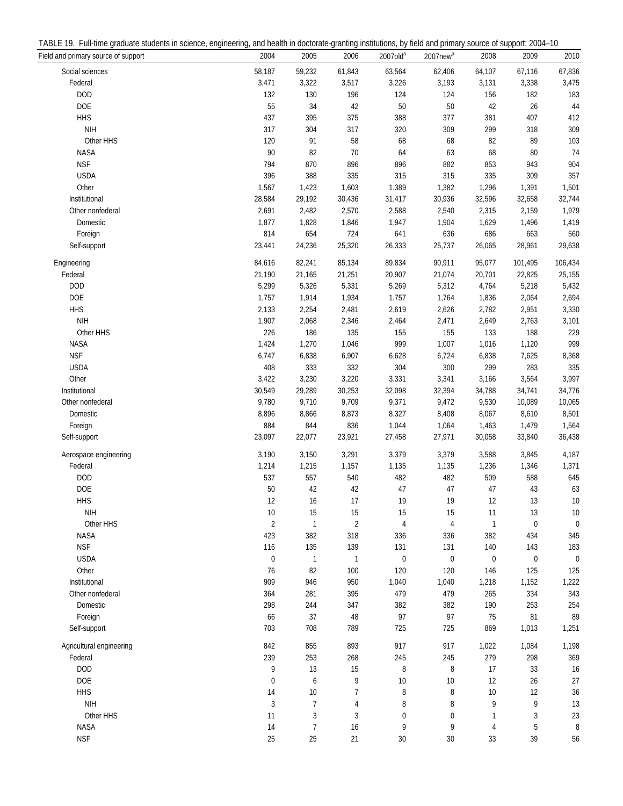| TABLE<br>ull-time<br>students in sc<br>ara<br>…uuate ∩'<br>science | erina.<br>enginee | I health in doctorate-o<br>and | institutions.<br>.-granting | , by field and primary | $2004 -$<br>source of<br>Support |
|--------------------------------------------------------------------|-------------------|--------------------------------|-----------------------------|------------------------|----------------------------------|
|--------------------------------------------------------------------|-------------------|--------------------------------|-----------------------------|------------------------|----------------------------------|

| Field and primary source of support | 2004                 | 2005               | 2006                  | $2007$ old <sup>a</sup> | 2007new <sup>a</sup> | 2008               | 2009              | 2010              |
|-------------------------------------|----------------------|--------------------|-----------------------|-------------------------|----------------------|--------------------|-------------------|-------------------|
| Social sciences                     | 58,187               | 59,232             | 61,843                | 63,564                  | 62,406               | 64,107             | 67,116            | 67,836            |
| Federal                             | 3,471                | 3,322              | 3,517                 | 3,226                   | 3,193                | 3,131              | 3,338             | 3,475             |
| <b>DOD</b>                          | 132                  | 130                | 196                   | 124                     | 124                  | 156                | 182               | 183               |
| DOE                                 | 55                   | 34                 | 42                    | $50\,$                  | 50                   | 42                 | 26                | 44                |
| <b>HHS</b>                          | 437                  | 395                | 375                   | 388                     | 377                  | 381                | 407               | 412               |
| <b>NIH</b>                          | 317                  | 304                | 317                   | 320                     | 309                  | 299                | 318               | 309               |
| Other HHS                           | 120                  | 91                 | 58                    | 68                      | 68                   | 82                 | 89                | 103               |
| <b>NASA</b>                         | 90                   | 82                 | $70$                  | 64                      | 63                   | 68                 | 80                | 74                |
| <b>NSF</b>                          | 794                  | 870                | 896                   | 896                     | 882                  | 853                | 943               | 904               |
| <b>USDA</b>                         | 396                  | 388                | 335                   | 315                     | 315                  | 335                | 309               | 357               |
| Other                               | 1,567                | 1,423              | 1,603                 | 1,389                   | 1,382                | 1,296              | 1,391             | 1,501             |
| Institutional                       | 28,584               | 29,192             | 30,436                | 31,417                  | 30,936               | 32,596             | 32,658            | 32,744            |
| Other nonfederal                    | 2,691                | 2,482              | 2,570                 | 2,588                   | 2,540                | 2,315              | 2,159             | 1,979             |
| Domestic                            | 1,877                | 1,828              | 1,846                 | 1,947                   | 1,904                | 1,629              | 1,496             | 1,419             |
| Foreign                             | 814                  | 654                | 724                   | 641                     | 636                  | 686                | 663               | 560               |
| Self-support                        | 23,441               | 24,236             | 25,320                | 26,333                  | 25,737               | 26,065             | 28,961            | 29,638            |
| Engineering                         | 84,616               | 82,241             | 85,134                | 89,834                  | 90,911               | 95,077             | 101,495           | 106,434           |
| Federal                             | 21,190               | 21,165             | 21,251                | 20,907                  | 21,074               | 20,701             | 22,825            | 25,155            |
| <b>DOD</b>                          | 5,299                | 5,326              | 5,331                 | 5,269                   | 5,312                | 4,764              | 5,218             | 5,432             |
| DOE                                 | 1,757                | 1,914              | 1,934                 | 1,757                   | 1,764                | 1,836              | 2,064             | 2,694             |
| <b>HHS</b>                          | 2,133                | 2,254              | 2,481                 | 2,619                   | 2,626                | 2,782              | 2,951             | 3,330             |
| <b>NIH</b>                          | 1,907                | 2,068              | 2,346                 | 2,464                   | 2,471                | 2,649              | 2,763             | 3,101             |
| Other HHS                           | 226                  | 186                | 135                   | 155                     | 155                  | 133                | 188               | 229               |
| <b>NASA</b>                         | 1,424                | 1,270              | 1,046                 | 999                     | 1,007                | 1,016              | 1,120             | 999               |
| <b>NSF</b>                          | 6,747                | 6,838              | 6,907                 | 6,628                   | 6,724                | 6,838              | 7,625             | 8,368             |
| <b>USDA</b>                         | 408                  | 333                | 332                   | 304                     | 300                  | 299                | 283               | 335               |
| Other                               | 3,422                | 3,230              | 3,220                 | 3,331                   | 3,341                | 3,166              | 3,564             | 3,997             |
| Institutional                       | 30,549               | 29,289             | 30,253                | 32,098                  | 32,394               | 34,788             | 34,741            | 34,776            |
| Other nonfederal                    | 9,780                | 9,710              | 9,709                 | 9,371                   | 9,472                | 9,530              | 10,089            | 10,065            |
| Domestic                            | 8,896                | 8,866              | 8,873                 | 8,327                   | 8,408                | 8,067              | 8,610             | 8,501             |
| Foreign                             | 884                  | 844                | 836                   | 1,044                   | 1,064                | 1,463              | 1,479             | 1,564             |
| Self-support                        | 23,097               | 22,077             | 23,921                | 27,458                  | 27,971               | 30,058             | 33,840            | 36,438            |
| Aerospace engineering               | 3,190                | 3,150              | 3,291                 | 3,379                   | 3,379                | 3,588              | 3,845             | 4,187             |
| Federal                             | 1,214                | 1,215              | 1,157                 | 1,135                   | 1,135                | 1,236              | 1,346             | 1,371             |
| <b>DOD</b>                          | 537                  | 557                | 540                   | 482                     | 482                  | 509                | 588               | 645               |
| <b>DOE</b>                          | 50                   | 42                 | 42                    | 47                      | 47                   | 47                 | 43                | 63                |
| <b>HHS</b>                          | 12                   | 16                 | 17                    | 19                      | 19                   |                    | 13                | 10                |
| <b>NIH</b>                          |                      |                    |                       | 15                      |                      | 12                 |                   |                   |
|                                     | 10<br>$\overline{2}$ | 15<br>$\mathbf{1}$ | 15                    | $\overline{4}$          | 15<br>$\overline{4}$ | 11<br>$\mathbf{1}$ | 13<br>$\mathbf 0$ | 10<br>$\mathbf 0$ |
| Other HHS<br><b>NASA</b>            | 423                  |                    | $\overline{2}$<br>318 |                         |                      |                    |                   | 345               |
| <b>NSF</b>                          | 116                  | 382<br>135         |                       | 336                     | 336                  | 382                | 434<br>143        |                   |
|                                     |                      |                    | 139                   | 131                     | 131                  | 140                |                   | 183               |
| <b>USDA</b>                         | $\boldsymbol{0}$     | $\mathbf{1}$       | $\mathbf{1}$          | $\boldsymbol{0}$        | $\bf{0}$             | $\mathbf 0$        | $\boldsymbol{0}$  | $\mathbf 0$       |
| Other                               | 76                   | 82                 | 100                   | 120                     | 120                  | 146                | 125               | 125               |
| Institutional                       | 909                  | 946                | 950                   | 1,040                   | 1,040                | 1,218              | 1,152             | 1,222             |
| Other nonfederal                    | 364                  | 281                | 395                   | 479                     | 479                  | 265                | 334               | 343               |
| Domestic                            | 298                  | 244                | 347                   | 382                     | 382                  | 190                | 253               | 254               |
| Foreign                             | 66                   | 37                 | 48                    | 97                      | 97                   | 75                 | 81                | 89                |
| Self-support                        | 703                  | 708                | 789                   | 725                     | 725                  | 869                | 1,013             | 1,251             |
| Agricultural engineering            | 842                  | 855                | 893                   | 917                     | 917                  | 1,022              | 1,084             | 1,198             |
| Federal                             | 239                  | 253                | 268                   | 245                     | 245                  | 279                | 298               | 369               |
| <b>DOD</b>                          | 9                    | 13                 | 15                    | 8                       | 8                    | 17                 | 33                | 16                |
| <b>DOE</b>                          | 0                    | 6                  | 9                     | 10                      | 10                   | 12                 | 26                | 27                |
| <b>HHS</b>                          | 14                   | $10$               | 7                     | 8                       | 8                    | $10$               | 12                | 36                |
| <b>NIH</b>                          | $\sqrt{3}$           | 7                  | 4                     | 8                       | 8                    | 9                  | 9                 | 13                |
| Other HHS                           | 11                   | 3                  | 3                     | $\pmb{0}$               | 0                    | 1                  | 3                 | 23                |
| <b>NASA</b>                         | 14                   | 7                  | 16                    | 9                       | 9                    | 4                  | 5                 | 8                 |
| <b>NSF</b>                          | 25                   | 25                 | 21                    | $30\,$                  | 30                   | 33                 | 39                | 56                |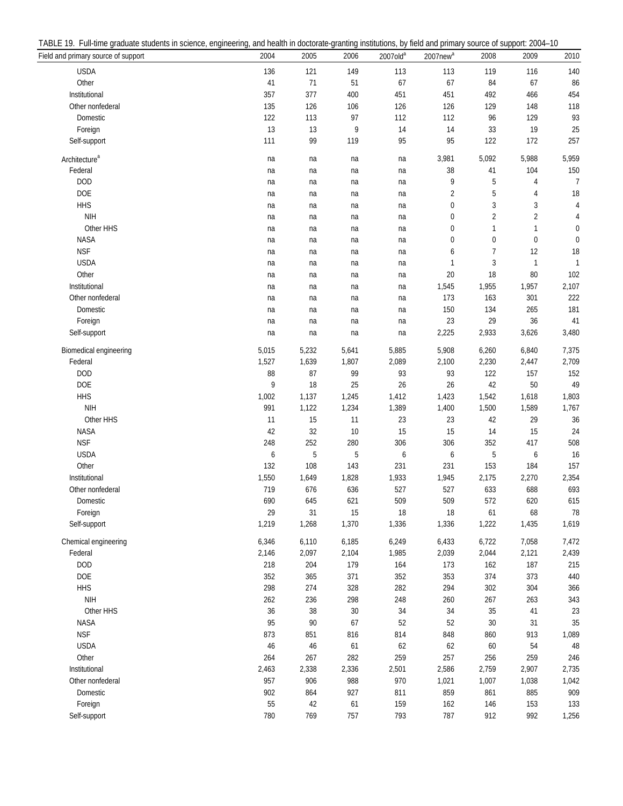| TABLE<br>rull-time<br>araduate<br>students<br>s in science. | enaineerina. | J health in doctorate-<br>and | ⊱arantina institutions. | . by field and | $2004 -$<br>support<br>primary source of |
|-------------------------------------------------------------|--------------|-------------------------------|-------------------------|----------------|------------------------------------------|
|-------------------------------------------------------------|--------------|-------------------------------|-------------------------|----------------|------------------------------------------|

| Field and primary source of support | 2004   | 2005   | 2006   | 2007old <sup>a</sup> | 2007new <sup>a</sup> | 2008           | 2009           | 2010           |
|-------------------------------------|--------|--------|--------|----------------------|----------------------|----------------|----------------|----------------|
| <b>USDA</b>                         | 136    | 121    | 149    | 113                  | 113                  | 119            | 116            | 140            |
| Other                               | 41     | 71     | 51     | 67                   | 67                   | 84             | 67             | 86             |
| Institutional                       | 357    | 377    | 400    | 451                  | 451                  | 492            | 466            | 454            |
| Other nonfederal                    | 135    | 126    | 106    | 126                  | 126                  | 129            | 148            | 118            |
| Domestic                            | 122    | 113    | 97     | 112                  | 112                  | 96             | 129            | 93             |
| Foreign                             | 13     | 13     | 9      | 14                   | 14                   | 33             | 19             | 25             |
| Self-support                        | 111    | 99     | 119    | 95                   | 95                   | 122            | 172            | 257            |
| Architecture <sup>a</sup>           | na     | na     | na     | na                   | 3,981                | 5,092          | 5,988          | 5,959          |
| Federal                             | na     | na     | na     | na                   | 38                   | 41             | 104            | 150            |
| <b>DOD</b>                          | na     | na     | na     | na                   | 9                    | 5              | 4              | $\overline{7}$ |
| <b>DOE</b>                          | na     | na     | na     | na                   | $\overline{2}$       | 5              | 4              | 18             |
| <b>HHS</b>                          | na     | na     | na     | na                   | 0                    | 3              | 3              | 4              |
| <b>NIH</b>                          | na     | na     | na     | na                   | 0                    | $\overline{2}$ | $\overline{2}$ | 4              |
| Other HHS                           | na     | na     | na     | na                   | $\mathbf 0$          | 1              | 1              | 0              |
| <b>NASA</b>                         | na     | na     | na     | na                   | 0                    | $\pmb{0}$      | $\bf{0}$       | 0              |
| <b>NSF</b>                          | na     | na     | na     | na                   | 6                    | $\overline{1}$ | 12             | 18             |
| <b>USDA</b>                         | na     | na     | na     | na                   | 1                    | 3              | 1              | 1              |
| Other                               | na     | na     | na     | na                   | 20                   | 18             | 80             | 102            |
| Institutional                       | na     | na     | na     | na                   | 1,545                | 1,955          | 1,957          | 2,107          |
| Other nonfederal                    | na     | na     | na     | na                   | 173                  | 163            | 301            | 222            |
| Domestic                            | na     | na     | na     | na                   | 150                  | 134            | 265            | 181            |
| Foreign                             | na     | na     | na     | na                   | 23                   | 29             | 36             | 41             |
| Self-support                        | na     | na     | na     | na                   | 2,225                | 2,933          | 3,626          | 3,480          |
| Biomedical engineering              | 5,015  | 5,232  | 5,641  | 5,885                | 5,908                | 6,260          | 6,840          | 7,375          |
| Federal                             | 1,527  | 1,639  | 1,807  | 2,089                | 2,100                | 2,230          | 2,447          | 2,709          |
| <b>DOD</b>                          | 88     | 87     | 99     | 93                   | 93                   | 122            | 157            | 152            |
| <b>DOE</b>                          | 9      | 18     | 25     | 26                   | 26                   | 42             | 50             | 49             |
| <b>HHS</b>                          | 1,002  | 1,137  | 1,245  | 1,412                | 1,423                | 1,542          | 1,618          | 1,803          |
| <b>NIH</b>                          | 991    | 1,122  | 1,234  | 1,389                | 1,400                | 1,500          | 1,589          | 1,767          |
| Other HHS                           | 11     | 15     | 11     | 23                   | 23                   | 42             | 29             | 36             |
| <b>NASA</b>                         | 42     | 32     | $10$   | 15                   | 15                   | 14             | 15             | 24             |
| <b>NSF</b>                          | 248    | 252    | 280    | 306                  | 306                  | 352            | 417            | 508            |
| <b>USDA</b>                         | 6      | 5      | 5      | 6                    | 6                    | 5              | 6              | 16             |
| Other                               | 132    | 108    | 143    | 231                  | 231                  | 153            | 184            | 157            |
| Institutional                       | 1,550  | 1,649  | 1,828  | 1,933                | 1,945                | 2,175          | 2,270          | 2,354          |
| Other nonfederal                    | 719    | 676    | 636    | 527                  | 527                  | 633            | 688            | 693            |
| Domestic                            | 690    | 645    | 621    | 509                  | 509                  | 572            | 620            | 615            |
| Foreign                             | 29     | 31     | 15     | 18                   | 18                   | 61             | 68             | 78             |
| Self-support                        | 1,219  | 1,268  | 1,370  | 1,336                | 1,336                | 1,222          | 1,435          | 1,619          |
| Chemical engineering                | 6,346  | 6,110  | 6,185  | 6,249                | 6,433                | 6,722          | 7,058          | 7,472          |
| Federal                             | 2,146  | 2,097  | 2,104  | 1,985                | 2,039                | 2,044          | 2,121          | 2,439          |
| <b>DOD</b>                          | 218    | 204    | 179    | 164                  | 173                  | 162            | 187            | 215            |
| <b>DOE</b>                          | 352    | 365    | 371    | 352                  | 353                  | 374            | 373            | 440            |
| <b>HHS</b>                          | 298    | 274    | 328    | 282                  | 294                  | 302            | 304            | 366            |
| <b>NIH</b>                          | 262    | 236    | 298    | 248                  | 260                  | 267            | 263            | 343            |
| Other HHS                           | $36\,$ | $38\,$ | $30\,$ | 34                   | 34                   | 35             | $41$           | 23             |
| <b>NASA</b>                         | 95     | 90     | 67     | 52                   | 52                   | 30             | 31             | 35             |
| <b>NSF</b>                          | 873    | 851    | 816    | 814                  | 848                  | 860            | 913            | 1,089          |
| <b>USDA</b>                         | 46     | $46\,$ | 61     | 62                   | 62                   | 60             | 54             | 48             |
| Other                               | 264    | 267    | 282    | 259                  | 257                  | 256            | 259            | 246            |
| Institutional                       | 2,463  | 2,338  | 2,336  | 2,501                | 2,586                | 2,759          | 2,907          | 2,735          |
| Other nonfederal                    | 957    | 906    | 988    | 970                  | 1,021                | 1,007          | 1,038          | 1,042          |
| Domestic                            | 902    | 864    | 927    | 811                  | 859                  | 861            | 885            | 909            |
| Foreign                             | 55     | 42     | 61     | 159                  | 162                  | 146            | 153            | 133            |
| Self-support                        | 780    | 769    | 757    | 793                  | 787                  | 912            | 992            | 1,256          |
|                                     |        |        |        |                      |                      |                |                |                |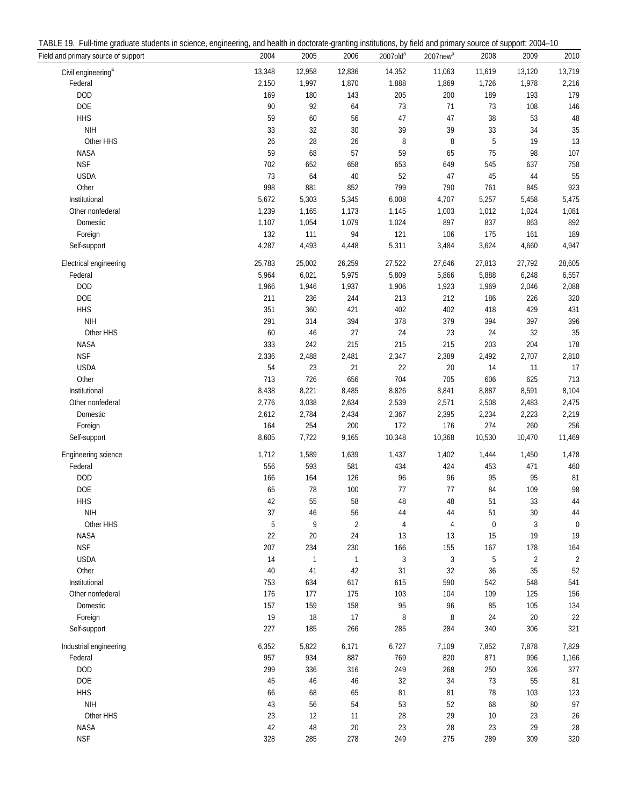| TABLE<br>ull-time<br>students in sc<br>ara<br>…uuate ∩'<br>science | erina.<br>enginee | I health in doctorate-o<br>and | institutions.<br>.-granting | , by field and primary | $2004 -$<br>source of<br>Support |
|--------------------------------------------------------------------|-------------------|--------------------------------|-----------------------------|------------------------|----------------------------------|
|--------------------------------------------------------------------|-------------------|--------------------------------|-----------------------------|------------------------|----------------------------------|

| Field and primary source of support | 2004   | 2005         | 2006           | 2007old <sup>a</sup> | 2007new <sup>a</sup> | 2008      | 2009           | 2010           |
|-------------------------------------|--------|--------------|----------------|----------------------|----------------------|-----------|----------------|----------------|
| Civil engineering <sup>a</sup>      | 13,348 | 12,958       | 12,836         | 14,352               | 11,063               | 11,619    | 13,120         | 13,719         |
| Federal                             | 2,150  | 1,997        | 1,870          | 1,888                | 1,869                | 1,726     | 1,978          | 2,216          |
| <b>DOD</b>                          | 169    | 180          | 143            | 205                  | 200                  | 189       | 193            | 179            |
| DOE                                 | 90     | 92           | 64             | 73                   | 71                   | 73        | 108            | 146            |
| <b>HHS</b>                          | 59     | $60\,$       | 56             | 47                   | 47                   | 38        | 53             | 48             |
| <b>NIH</b>                          | 33     | $32\,$       | $30\,$         | 39                   | 39                   | 33        | 34             | 35             |
| Other HHS                           | 26     | 28           | 26             | $\, 8$               | 8                    | 5         | 19             | 13             |
| <b>NASA</b>                         | 59     | 68           | 57             | 59                   | 65                   | 75        | 98             | 107            |
| <b>NSF</b>                          | 702    | 652          | 658            | 653                  | 649                  | 545       | 637            | 758            |
| <b>USDA</b>                         | 73     | 64           | $40\,$         | 52                   | 47                   | 45        | 44             | 55             |
| Other                               | 998    | 881          | 852            | 799                  | 790                  | 761       | 845            | 923            |
| Institutional                       | 5,672  | 5,303        | 5,345          | 6,008                | 4,707                | 5,257     | 5,458          | 5,475          |
| Other nonfederal                    | 1,239  | 1,165        | 1,173          | 1,145                | 1,003                | 1,012     | 1,024          | 1,081          |
| Domestic                            | 1,107  | 1,054        | 1,079          | 1,024                | 897                  | 837       | 863            | 892            |
| Foreign                             | 132    | 111          | 94             | 121                  | 106                  | 175       | 161            | 189            |
| Self-support                        | 4,287  | 4,493        | 4,448          | 5,311                | 3,484                | 3,624     | 4,660          | 4,947          |
|                                     |        |              |                |                      |                      |           |                |                |
| Electrical engineering              | 25,783 | 25,002       | 26,259         | 27,522               | 27,646               | 27,813    | 27,792         | 28,605         |
| Federal                             | 5,964  | 6,021        | 5,975          | 5,809                | 5,866                | 5,888     | 6,248          | 6,557          |
| <b>DOD</b>                          | 1,966  | 1,946        | 1,937          | 1,906                | 1,923                | 1,969     | 2,046          | 2,088          |
| <b>DOE</b>                          | 211    | 236          | 244            | 213                  | 212                  | 186       | 226            | 320            |
| <b>HHS</b>                          | 351    | 360          | 421            | 402                  | 402                  | 418       | 429            | 431            |
| <b>NIH</b>                          | 291    | 314          | 394            | 378                  | 379                  | 394       | 397            | 396            |
| Other HHS                           | 60     | 46           | 27             | 24                   | 23                   | 24        | 32             | 35             |
| <b>NASA</b>                         | 333    | 242          | 215            | 215                  | 215                  | 203       | 204            | 178            |
| <b>NSF</b>                          | 2,336  | 2,488        | 2,481          | 2,347                | 2,389                | 2,492     | 2,707          | 2,810          |
| <b>USDA</b>                         | 54     | 23           | 21             | 22                   | 20                   | 14        | 11             | 17             |
| Other                               | 713    | 726          | 656            | 704                  | 705                  | 606       | 625            | 713            |
| Institutional                       | 8,438  | 8,221        | 8,485          | 8,826                | 8,841                | 8,887     | 8,591          | 8,104          |
| Other nonfederal                    | 2,776  | 3,038        | 2,634          | 2,539                | 2,571                | 2,508     | 2,483          | 2,475          |
| Domestic                            | 2,612  | 2,784        | 2,434          | 2,367                | 2,395                | 2,234     | 2,223          | 2,219          |
| Foreign                             | 164    | 254          | 200            | 172                  | 176                  | 274       | 260            | 256            |
| Self-support                        | 8,605  | 7,722        | 9,165          | 10,348               | 10,368               | 10,530    | 10,470         | 11,469         |
| Engineering science                 | 1,712  | 1,589        | 1,639          | 1,437                | 1,402                | 1,444     | 1,450          | 1,478          |
| Federal                             | 556    | 593          | 581            | 434                  | 424                  | 453       | 471            | 460            |
| <b>DOD</b>                          | 166    | 164          | 126            | 96                   | 96                   | 95        | 95             | 81             |
| <b>DOE</b>                          | 65     | 78           | 100            | 77                   | $77 \,$              | 84        | 109            | 98             |
| <b>HHS</b>                          | 42     | 55           | 58             | $\sqrt{48}$          | 48                   | 51        | 33             | 44             |
| <b>NIH</b>                          | 37     | 46           | 56             | 44                   | 44                   | 51        | $30\,$         | 44             |
| Other HHS                           | 5      | 9            | $\overline{2}$ | $\overline{4}$       | $\overline{4}$       | $\pmb{0}$ | 3              | $\mathbf 0$    |
| <b>NASA</b>                         | 22     | $20\,$       | 24             | 13                   | 13                   | 15        | 19             | 19             |
| <b>NSF</b>                          | 207    | 234          | 230            | 166                  | 155                  | 167       | 178            | 164            |
| <b>USDA</b>                         | 14     | $\mathbf{1}$ | $\mathbf{1}$   | $\sqrt{3}$           | 3                    | 5         | $\overline{2}$ | $\overline{2}$ |
| Other                               | 40     | 41           | 42             | 31                   | 32                   | 36        | 35             | 52             |
| Institutional                       | 753    | 634          | 617            | 615                  | 590                  | 542       | 548            | 541            |
| Other nonfederal                    | 176    | 177          | 175            | 103                  | 104                  | 109       | 125            | 156            |
| Domestic                            | 157    | 159          | 158            | 95                   | 96                   | 85        | 105            | 134            |
| Foreign                             | 19     | 18           | 17             | 8                    | 8                    | 24        | 20             | 22             |
| Self-support                        | 227    | 185          | 266            | 285                  | 284                  | 340       | 306            | 321            |
|                                     |        |              |                |                      |                      |           |                |                |
| Industrial engineering              | 6,352  | 5,822        | 6,171          | 6,727                | 7,109                | 7,852     | 7,878          | 7,829          |
| Federal                             | 957    | 934          | 887            | 769                  | 820                  | 871       | 996            | 1,166          |
| <b>DOD</b>                          | 299    | 336          | 316            | 249                  | 268                  | 250       | 326            | 377            |
| DOE                                 | 45     | 46           | 46             | 32                   | 34                   | 73        | 55             | 81             |
| <b>HHS</b>                          | 66     | 68           | 65             | 81                   | 81                   | 78        | 103            | 123            |
| <b>NIH</b>                          | 43     | 56           | 54             | 53                   | 52                   | 68        | 80             | 97             |
| Other HHS                           | 23     | 12           | 11             | 28                   | 29                   | 10        | 23             | 26             |
| <b>NASA</b>                         | 42     | 48           | 20             | 23                   | 28                   | 23        | 29             | 28             |
| <b>NSF</b>                          | 328    | 285          | 278            | 249                  | 275                  | 289       | 309            | 320            |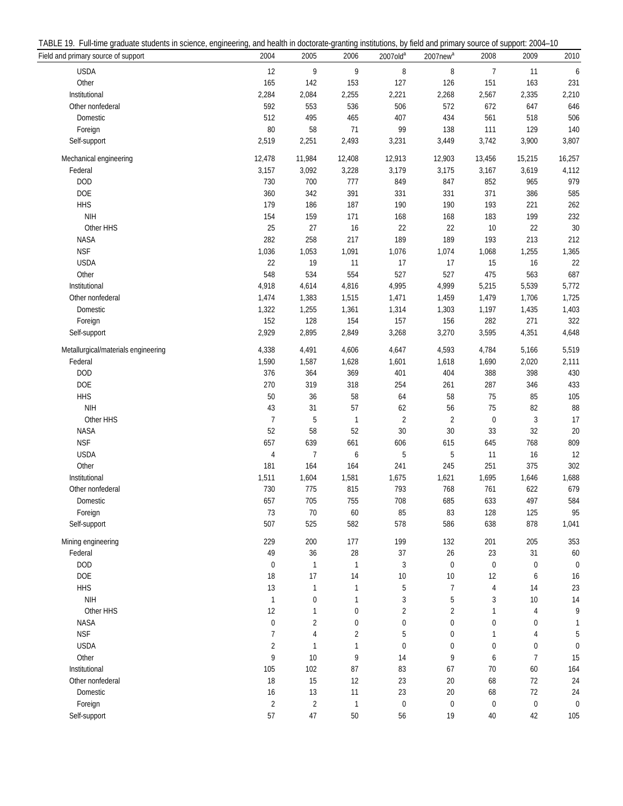| TABLE<br>ull-time<br>students in sc<br>ara<br>…uuate ∩'<br>science | erina.<br>enginee | I health in doctorate-o<br>and | institutions.<br>.-granting | , by field and primary | $2004 -$<br>source of<br>Support |
|--------------------------------------------------------------------|-------------------|--------------------------------|-----------------------------|------------------------|----------------------------------|
|--------------------------------------------------------------------|-------------------|--------------------------------|-----------------------------|------------------------|----------------------------------|

| T2. The limit graduate students in selence, engineemig, and nealth in doctorate granting institutions, by neid and primary source or support. 2004 TO<br>Field and primary source of support | 2004           | 2005                    | 2006             | 2007old <sup>a</sup> | $2007$ new $a$ | 2008           | 2009             | 2010           |
|----------------------------------------------------------------------------------------------------------------------------------------------------------------------------------------------|----------------|-------------------------|------------------|----------------------|----------------|----------------|------------------|----------------|
| <b>USDA</b>                                                                                                                                                                                  | 12             | 9                       | 9                | $\, 8$               | 8              | $\overline{7}$ | 11               | 6              |
| Other                                                                                                                                                                                        | 165            | 142                     | 153              | 127                  | 126            | 151            | 163              | 231            |
| Institutional                                                                                                                                                                                | 2,284          | 2,084                   | 2,255            | 2,221                | 2,268          | 2,567          | 2,335            | 2,210          |
| Other nonfederal                                                                                                                                                                             | 592            | 553                     | 536              | 506                  | 572            | 672            | 647              | 646            |
| Domestic                                                                                                                                                                                     | 512            | 495                     | 465              | 407                  | 434            | 561            | 518              | 506            |
| Foreign                                                                                                                                                                                      | 80             | 58                      | 71               | 99                   | 138            | 111            | 129              | 140            |
| Self-support                                                                                                                                                                                 | 2,519          | 2,251                   | 2,493            | 3,231                | 3,449          | 3,742          | 3,900            | 3,807          |
|                                                                                                                                                                                              |                |                         |                  |                      |                |                |                  |                |
| Mechanical engineering                                                                                                                                                                       | 12,478         | 11,984                  | 12,408           | 12,913               | 12,903         | 13,456         | 15,215           | 16,257         |
| Federal                                                                                                                                                                                      | 3,157          | 3,092                   | 3,228            | 3,179                | 3,175          | 3,167          | 3,619            | 4,112          |
| <b>DOD</b>                                                                                                                                                                                   | 730            | 700                     | 777              | 849                  | 847            | 852            | 965              | 979            |
| <b>DOE</b>                                                                                                                                                                                   | 360            | 342                     | 391              | 331                  | 331            | 371            | 386              | 585            |
| <b>HHS</b>                                                                                                                                                                                   | 179            | 186                     | 187              | 190                  | 190            | 193            | 221              | 262            |
| <b>NIH</b>                                                                                                                                                                                   | 154            | 159                     | 171              | 168                  | 168            | 183            | 199              | 232            |
| Other HHS                                                                                                                                                                                    | 25             | 27                      | $16$             | 22                   | 22             | 10             | 22               | 30             |
| NASA                                                                                                                                                                                         | 282            | 258                     | 217              | 189                  | 189            | 193            | 213              | 212            |
| <b>NSF</b>                                                                                                                                                                                   | 1,036          | 1,053                   | 1,091            | 1,076                | 1,074          | 1,068          | 1,255            | 1,365          |
| <b>USDA</b>                                                                                                                                                                                  | 22             | 19                      | 11               | 17                   | 17             | 15             | 16               | 22             |
| Other                                                                                                                                                                                        | 548            | 534                     | 554              | 527                  | 527            | 475            | 563              | 687            |
| Institutional                                                                                                                                                                                | 4,918          | 4,614                   | 4,816            | 4,995                | 4,999          | 5,215          | 5,539            | 5,772          |
| Other nonfederal                                                                                                                                                                             | 1,474          | 1,383                   | 1,515            | 1,471                | 1,459          | 1,479          | 1,706            | 1,725          |
| Domestic                                                                                                                                                                                     | 1,322          | 1,255                   | 1,361            | 1,314                | 1,303          | 1,197          | 1,435            | 1,403          |
| Foreign                                                                                                                                                                                      | 152            | 128                     | 154              | 157                  | 156            | 282            | 271              | 322            |
| Self-support                                                                                                                                                                                 | 2,929          | 2,895                   | 2,849            | 3,268                | 3,270          | 3,595          | 4,351            | 4,648          |
| Metallurgical/materials engineering                                                                                                                                                          | 4,338          | 4,491                   | 4,606            | 4,647                | 4,593          | 4,784          | 5,166            | 5,519          |
| Federal                                                                                                                                                                                      | 1,590          | 1,587                   | 1,628            | 1,601                | 1,618          | 1,690          | 2,020            | 2,111          |
| <b>DOD</b>                                                                                                                                                                                   | 376            | 364                     | 369              | 401                  | 404            | 388            | 398              | 430            |
| DOE                                                                                                                                                                                          | 270            | 319                     | 318              | 254                  | 261            | 287            | 346              | 433            |
| <b>HHS</b>                                                                                                                                                                                   | $50\,$         | $36\,$                  | 58               | 64                   | 58             | 75             | 85               | 105            |
| <b>NIH</b>                                                                                                                                                                                   | 43             | 31                      | 57               | 62                   | 56             | $75\,$         | 82               | 88             |
| Other HHS                                                                                                                                                                                    | $\overline{7}$ | 5                       | $\overline{1}$   | $\sqrt{2}$           | $\overline{2}$ | $\pmb{0}$      | $\sqrt{3}$       | 17             |
| <b>NASA</b>                                                                                                                                                                                  | 52             | 58                      | 52               | $30\,$               | $30\,$         | 33             | $32\,$           | $20\,$         |
| <b>NSF</b>                                                                                                                                                                                   | 657            | 639                     | 661              | 606                  | 615            | 645            | 768              | 809            |
| <b>USDA</b>                                                                                                                                                                                  | $\overline{4}$ | 7                       | $\boldsymbol{6}$ | 5                    | 5              | 11             | 16               | 12             |
| Other                                                                                                                                                                                        | 181            | 164                     | 164              | 241                  | 245            | 251            | 375              | 302            |
| Institutional                                                                                                                                                                                | 1,511          | 1,604                   | 1,581            | 1,675                | 1,621          | 1,695          | 1,646            | 1,688          |
| Other nonfederal                                                                                                                                                                             | 730            | 775                     | 815              | 793                  | 768            | 761            | 622              | 679            |
| Domestic                                                                                                                                                                                     | 657            | 705                     | 755              | 708                  | 685            | 633            | 497              | 584            |
| Foreign                                                                                                                                                                                      | 73             | 70                      | $60\,$           | 85                   | 83             | 128            | 125              | 95             |
| Self-support                                                                                                                                                                                 | 507            | 525                     | 582              | 578                  | 586            | 638            | 878              | 1,041          |
| Mining engineering                                                                                                                                                                           | 229            | 200                     | 177              | 199                  | 132            | 201            | 205              | 353            |
| Federal                                                                                                                                                                                      | 49             | 36                      | $28\,$           | 37                   | $26\,$         | 23             | 31               | 60             |
| <b>DOD</b>                                                                                                                                                                                   | $\pmb{0}$      | 1                       | $\mathbf{1}$     | 3                    | $\mathbf 0$    | $\mathbf 0$    | $\boldsymbol{0}$ | $\overline{0}$ |
| <b>DOE</b>                                                                                                                                                                                   | 18             | 17                      | 14               | 10                   | 10             | 12             | 6                | 16             |
| <b>HHS</b>                                                                                                                                                                                   | $13$           | $\mathbf{1}$            | $\mathbf{1}$     | 5                    | 7              | 4              | 14               | 23             |
| <b>NIH</b>                                                                                                                                                                                   | $\mathbf{1}$   | $\pmb{0}$               | $\mathbf{1}$     | $\sqrt{3}$           | 5              | 3              | 10               | 14             |
| Other HHS                                                                                                                                                                                    | 12             | 1                       | $\mathbf 0$      | $\sqrt{2}$           | 2              | 1              | 4                | 9              |
| <b>NASA</b>                                                                                                                                                                                  | $\pmb{0}$      | $\overline{\mathbf{c}}$ | $\mathbf 0$      | $\boldsymbol{0}$     | 0              | 0              | 0                | 1              |
| <b>NSF</b>                                                                                                                                                                                   | $\overline{7}$ | 4                       | $\overline{2}$   | 5                    | 0              | 1              | 4                | 5              |
| <b>USDA</b>                                                                                                                                                                                  | $\overline{2}$ | 1                       | $\mathbf{1}$     | $\boldsymbol{0}$     | 0              | 0              | 0                | 0              |
| Other                                                                                                                                                                                        | 9              | 10                      | 9                | 14                   | 9              | 6              | $\overline{7}$   | 15             |
| Institutional                                                                                                                                                                                | 105            | 102                     | 87               | 83                   | 67             | 70             | 60               | 164            |
| Other nonfederal                                                                                                                                                                             | $18\,$         | 15                      | 12               | 23                   | $20\,$         | 68             | 72               | 24             |
| Domestic                                                                                                                                                                                     | $16$           | 13                      | 11               | 23                   | 20             | 68             | 72               | 24             |
| Foreign                                                                                                                                                                                      | $\sqrt{2}$     | $\overline{2}$          | $\mathbf{1}$     | $\boldsymbol{0}$     | $\pmb{0}$      | $\pmb{0}$      | $\pmb{0}$        | $\mathbf 0$    |
| Self-support                                                                                                                                                                                 | 57             | $47\,$                  | $50\,$           | 56                   | 19             | 40             | 42               | 105            |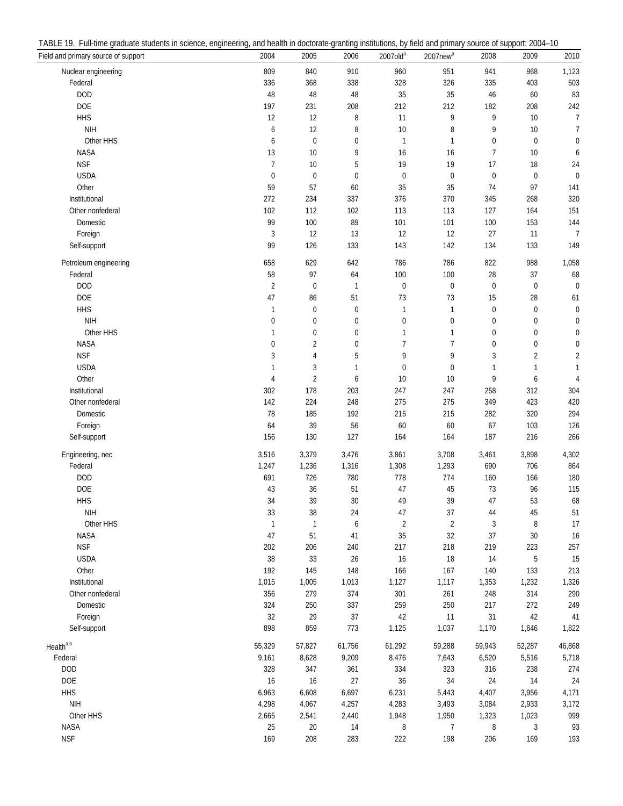| Field and primary source of support | 2004              | 2005                             | 2006             | $2007$ old <sup>a</sup>        | 2007new <sup>a</sup> | 2008             | 2009                        | 2010           |
|-------------------------------------|-------------------|----------------------------------|------------------|--------------------------------|----------------------|------------------|-----------------------------|----------------|
| Nuclear engineering                 | 809               | 840                              | 910              | 960                            | 951                  | 941              | 968                         | 1,123          |
| Federal                             | 336               | 368                              | 338              | 328                            | 326                  | 335              | 403                         | 503            |
| <b>DOD</b>                          | 48                | 48                               | 48               | 35                             | 35                   | 46               | 60                          | 83             |
| <b>DOE</b>                          | 197               | 231                              | 208              | 212                            | 212                  | 182              | 208                         | 242            |
| <b>HHS</b>                          | 12                | 12                               | 8                | 11                             | 9                    | 9                | 10                          | $\overline{7}$ |
| <b>NIH</b>                          | 6                 | 12                               | 8                | 10                             | 8                    | 9                | $10$                        | 7              |
| Other HHS                           | 6                 | $\boldsymbol{0}$                 | 0                | $\mathbf{1}$                   | 1                    | $\mathbf 0$      | $\boldsymbol{0}$            | 0              |
| <b>NASA</b>                         | 13                | 10                               | 9                | 16                             | 16                   | $\overline{7}$   | 10                          | 6              |
| <b>NSF</b>                          | 7                 | $10$                             | 5                | 19                             | 19                   | 17               | 18                          | 24             |
| <b>USDA</b>                         | $\pmb{0}$         | $\pmb{0}$                        | $\pmb{0}$        | $\pmb{0}$                      | $\pmb{0}$            | $\pmb{0}$        | $\pmb{0}$                   | $\mathbf 0$    |
| Other                               | 59                | 57                               | 60               | 35                             | 35                   | 74               | 97                          | 141            |
| Institutional                       | 272               | 234                              | 337              | 376                            | 370                  | 345              | 268                         | 320            |
| Other nonfederal                    | 102               | 112                              | 102              | 113                            | 113                  | 127              | 164                         | 151            |
| Domestic                            | 99                | 100                              | 89               | 101                            | 101                  | 100              | 153                         | 144            |
| Foreign                             | $\sqrt{3}$        | 12                               | 13               | 12                             | 12                   | 27               | 11                          | $\overline{7}$ |
| Self-support                        | 99                | 126                              | 133              | 143                            | 142                  | 134              | 133                         | 149            |
|                                     |                   |                                  |                  |                                |                      |                  |                             |                |
| Petroleum engineering<br>Federal    | 658<br>58         | 629<br>97                        | 642<br>64        | 786<br>100                     | 786<br>100           | 822<br>28        | 988<br>37                   | 1,058<br>68    |
| <b>DOD</b>                          |                   |                                  |                  |                                |                      |                  |                             | $\mathbf{0}$   |
|                                     | $\overline{2}$    | $\pmb{0}$                        | $\mathbf{1}$     | $\boldsymbol{0}$               | $\mathbf 0$          | $\boldsymbol{0}$ | $\pmb{0}$                   |                |
| <b>DOE</b>                          | 47                | 86                               | 51               | 73                             | 73                   | 15               | 28                          | 61             |
| <b>HHS</b>                          | $\mathbf{1}$      | $\pmb{0}$                        | $\pmb{0}$        | 1                              | 1                    | $\pmb{0}$        | $\pmb{0}$                   | $\mathbf 0$    |
| <b>NIH</b>                          | 0<br>$\mathbf{1}$ | $\pmb{0}$                        | $\boldsymbol{0}$ | $\pmb{0}$                      | $\mathbf 0$          | $\mathbf 0$      | $\pmb{0}$                   | 0              |
| Other HHS                           |                   | 0                                | 0                | $\mathbf{1}$<br>$\overline{7}$ | 1<br>$\overline{7}$  | $\mathbf 0$      | 0                           | $\pmb{0}$      |
| <b>NASA</b><br><b>NSF</b>           | $\pmb{0}$<br>3    | $\overline{2}$<br>$\overline{4}$ | $\pmb{0}$<br>5   | 9                              | 9                    | $\mathbf 0$<br>3 | $\pmb{0}$<br>$\overline{2}$ | $\mathbf 0$    |
|                                     | $\mathbf{1}$      |                                  |                  |                                |                      |                  | 1                           | $\overline{c}$ |
| <b>USDA</b><br>Other                |                   | 3                                | $\mathbf{1}$     | $\boldsymbol{0}$               | $\mathbf{0}$         | 1                |                             | $\mathbf{1}$   |
|                                     | $\overline{4}$    | $\overline{2}$                   | 6                | 10                             | 10                   | 9                | 6                           | $\overline{4}$ |
| Institutional                       | 302               | 178                              | 203              | 247                            | 247                  | 258              | 312                         | 304            |
| Other nonfederal                    | 142               | 224                              | 248              | 275                            | 275                  | 349              | 423                         | 420            |
| Domestic                            | 78                | 185                              | 192              | 215                            | 215                  | 282              | 320                         | 294            |
| Foreign                             | 64<br>156         | 39                               | 56<br>127        | 60                             | 60                   | 67               | 103                         | 126            |
| Self-support                        |                   | 130                              |                  | 164                            | 164                  | 187              | 216                         | 266            |
| Engineering, nec                    | 3,516             | 3,379                            | 3,476            | 3,861                          | 3,708                | 3,461            | 3,898                       | 4,302          |
| Federal                             | 1,247             | 1,236                            | 1,316            | 1,308                          | 1,293                | 690              | 706                         | 864            |
| <b>DOD</b>                          | 691               | 726                              | 780              | 778                            | 774                  | 160              | 166                         | 180            |
| <b>DOE</b>                          | 43                | 36                               | 51               | 47                             | 45                   | 73               | 96                          | 115            |
| <b>HHS</b>                          | 34                | 39                               | 30               | 49                             | 39                   | 47               | 53                          | 68             |
| NIH                                 | 33                | 38                               | 24               | 47                             | 37                   | 44               | 45                          | 51             |
| Other HHS                           | $\mathbf{1}$      | $\mathbf{1}$                     | $\boldsymbol{6}$ | $\sqrt{2}$                     | $\sqrt{2}$           | 3                | 8                           | 17             |
| <b>NASA</b>                         | $47\,$            | 51                               | 41               | 35                             | 32                   | 37               | $30\,$                      | 16             |
| <b>NSF</b>                          | 202               | 206                              | 240              | 217                            | 218                  | 219              | 223                         | 257            |
| <b>USDA</b>                         | $38\,$            | 33                               | $26\,$           | 16                             | 18                   | 14               | 5                           | 15             |
| Other                               | 192               | 145                              | 148              | 166                            | 167                  | 140              | 133                         | 213            |
| Institutional                       | 1,015             | 1,005                            | 1,013            | 1,127                          | 1,117                | 1,353            | 1,232                       | 1,326          |
| Other nonfederal                    | 356               | 279                              | 374              | 301                            | 261                  | 248              | 314                         | 290            |
| Domestic                            | 324               | 250                              | 337              | 259                            | 250                  | 217              | 272                         | 249            |
| Foreign                             | $32\,$            | 29                               | 37               | 42                             | 11                   | 31               | 42                          | 41             |
| Self-support                        | 898               | 859                              | 773              | 1,125                          | 1,037                | 1,170            | 1,646                       | 1,822          |
| Health <sup>a,b</sup>               | 55,329            | 57,827                           | 61,756           | 61,292                         | 59,288               | 59,943           | 52,287                      | 46,868         |
| Federal                             | 9,161             | 8,628                            | 9,209            | 8,476                          | 7,643                | 6,520            | 5,516                       | 5,718          |
| <b>DOD</b>                          | 328               | 347                              | 361              | 334                            | 323                  | 316              | 238                         | 274            |
| DOE                                 | $16$              | $16$                             | $27\,$           | $36\,$                         | 34                   | 24               | 14                          | 24             |
| <b>HHS</b>                          | 6,963             | 6,608                            | 6,697            | 6,231                          | 5,443                | 4,407            | 3,956                       | 4,171          |
| NIH                                 | 4,298             | 4,067                            | 4,257            | 4,283                          | 3,493                | 3,084            | 2,933                       | 3,172          |
| Other HHS                           | 2,665             | 2,541                            | 2,440            | 1,948                          | 1,950                | 1,323            | 1,023                       | 999            |
| NASA                                | 25                | $20\,$                           | $14$             | 8                              | 7                    | 8                | 3                           | 93             |
| <b>NSF</b>                          | 169               | 208                              | 283              | 222                            | 198                  | 206              | 169                         | 193            |